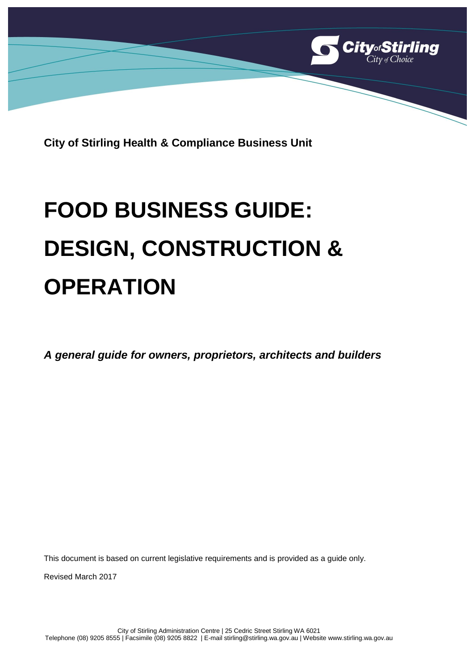

**City of Stirling Health & Compliance Business Unit**

# **FOOD BUSINESS GUIDE: DESIGN, CONSTRUCTION & OPERATION**

*A general guide for owners, proprietors, architects and builders* 

This document is based on current legislative requirements and is provided as a guide only.

Revised March 2017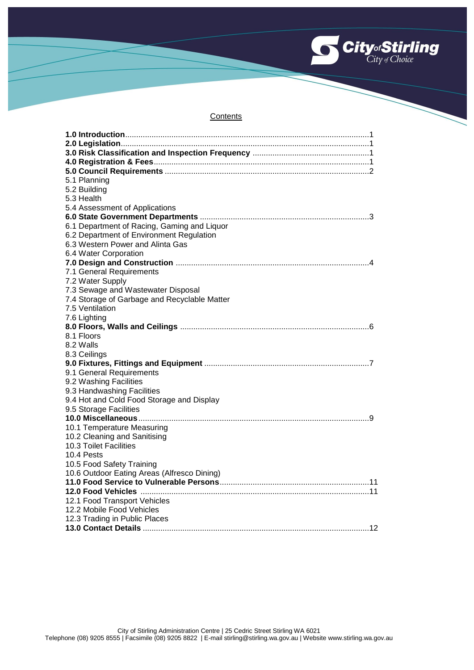

#### **Contents**

| 5.1 Planning                                 |
|----------------------------------------------|
| 5.2 Building                                 |
| 5.3 Health                                   |
| 5.4 Assessment of Applications               |
|                                              |
| 6.1 Department of Racing, Gaming and Liquor  |
| 6.2 Department of Environment Regulation     |
| 6.3 Western Power and Alinta Gas             |
| 6.4 Water Corporation                        |
|                                              |
| 7.1 General Requirements                     |
| 7.2 Water Supply                             |
| 7.3 Sewage and Wastewater Disposal           |
| 7.4 Storage of Garbage and Recyclable Matter |
| 7.5 Ventilation                              |
| 7.6 Lighting                                 |
|                                              |
| 8.1 Floors                                   |
| 8.2 Walls                                    |
| 8.3 Ceilings                                 |
|                                              |
| 9.1 General Requirements                     |
| 9.2 Washing Facilities                       |
| 9.3 Handwashing Facilities                   |
| 9.4 Hot and Cold Food Storage and Display    |
| 9.5 Storage Facilities                       |
|                                              |
| 10.1 Temperature Measuring                   |
| 10.2 Cleaning and Sanitising                 |
| 10.3 Toilet Facilities                       |
| 10.4 Pests                                   |
| 10.5 Food Safety Training                    |
| 10.6 Outdoor Eating Areas (Alfresco Dining)  |
|                                              |
|                                              |
| 12.1 Food Transport Vehicles                 |
| 12.2 Mobile Food Vehicles                    |
| 12.3 Trading in Public Places                |
|                                              |
|                                              |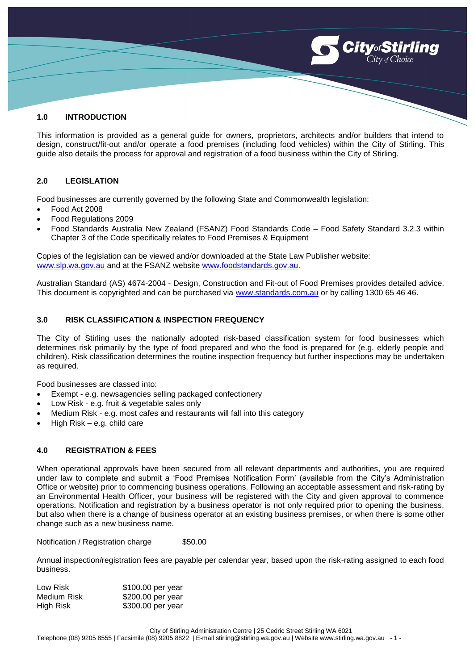# **1.0 INTRODUCTION**

This information is provided as a general guide for owners, proprietors, architects and/or builders that intend to design, construct/fit-out and/or operate a food premises (including food vehicles) within the City of Stirling. This guide also details the process for approval and registration of a food business within the City of Stirling.

**CityofStirling** 

#### **2.0 LEGISLATION**

Food businesses are currently governed by the following State and Commonwealth legislation:

- Food Act 2008
- Food Regulations 2009
- Food Standards Australia New Zealand (FSANZ) Food Standards Code Food Safety Standard 3.2.3 within Chapter 3 of the Code specifically relates to Food Premises & Equipment

Copies of the legislation can be viewed and/or downloaded at the State Law Publisher website: [www.slp.wa.gov.au](http://www.slp.wa.gov.au/) and at the FSANZ website [www.foodstandards.gov.au.](http://www.foodstandards.gov.au/)

Australian Standard (AS) 4674-2004 - Design, Construction and Fit-out of Food Premises provides detailed advice. This document is copyrighted and can be purchased via [www.standards.com.au](http://www.standards.com.au/) or by calling 1300 65 46 46.

#### **3.0 RISK CLASSIFICATION & INSPECTION FREQUENCY**

The City of Stirling uses the nationally adopted risk-based classification system for food businesses which determines risk primarily by the type of food prepared and who the food is prepared for (e.g. elderly people and children). Risk classification determines the routine inspection frequency but further inspections may be undertaken as required.

Food businesses are classed into:

- Exempt e.g. newsagencies selling packaged confectionery
- Low Risk e.g. fruit & vegetable sales only
- Medium Risk e.g. most cafes and restaurants will fall into this category
- High Risk e.g. child care

# **4.0 REGISTRATION & FEES**

When operational approvals have been secured from all relevant departments and authorities, you are required under law to complete and submit a 'Food Premises Notification Form' (available from the City's Administration Office or website) prior to commencing business operations. Following an acceptable assessment and risk-rating by an Environmental Health Officer, your business will be registered with the City and given approval to commence operations. Notification and registration by a business operator is not only required prior to opening the business, but also when there is a change of business operator at an existing business premises, or when there is some other change such as a new business name.

Notification / Registration charge \$50.00

Annual inspection/registration fees are payable per calendar year, based upon the risk-rating assigned to each food business.

| Low Risk    | \$100.00 per year |
|-------------|-------------------|
| Medium Risk | \$200.00 per year |
| High Risk   | \$300.00 per year |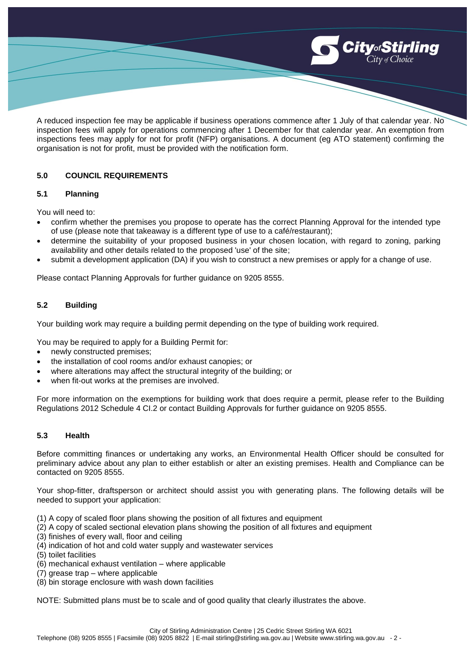

A reduced inspection fee may be applicable if business operations commence after 1 July of that calendar year. No inspection fees will apply for operations commencing after 1 December for that calendar year. An exemption from inspections fees may apply for not for profit (NFP) organisations. A document (eg ATO statement) confirming the organisation is not for profit, must be provided with the notification form.

# **5.0 COUNCIL REQUIREMENTS**

#### **5.1 Planning**

You will need to:

- confirm whether the premises you propose to operate has the correct Planning Approval for the intended type of use (please note that takeaway is a different type of use to a café/restaurant);
- determine the suitability of your proposed business in your chosen location, with regard to zoning, parking availability and other details related to the proposed 'use' of the site;
- submit a development application (DA) if you wish to construct a new premises or apply for a change of use.

Please contact Planning Approvals for further guidance on 9205 8555.

# **5.2 Building**

Your building work may require a building permit depending on the type of building work required.

You may be required to apply for a Building Permit for:

- newly constructed premises;
- the installation of cool rooms and/or exhaust canopies; or
- where alterations may affect the structural integrity of the building; or
- when fit-out works at the premises are involved.

For more information on the exemptions for building work that does require a permit, please refer to the Building Regulations 2012 Schedule 4 CI.2 or contact Building Approvals for further guidance on 9205 8555.

#### **5.3 Health**

Before committing finances or undertaking any works, an Environmental Health Officer should be consulted for preliminary advice about any plan to either establish or alter an existing premises. Health and Compliance can be contacted on 9205 8555.

Your shop-fitter, draftsperson or architect should assist you with generating plans. The following details will be needed to support your application:

- (1) A copy of scaled floor plans showing the position of all fixtures and equipment
- (2) A copy of scaled sectional elevation plans showing the position of all fixtures and equipment
- (3) finishes of every wall, floor and ceiling
- (4) indication of hot and cold water supply and wastewater services
- (5) toilet facilities
- (6) mechanical exhaust ventilation where applicable
- (7) grease trap where applicable
- (8) bin storage enclosure with wash down facilities

NOTE: Submitted plans must be to scale and of good quality that clearly illustrates the above.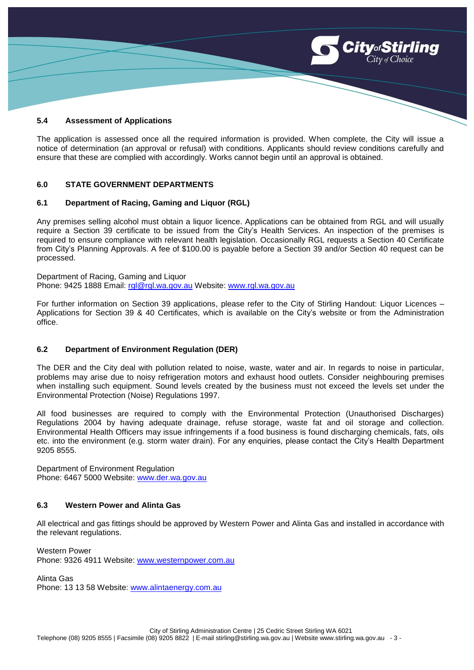

#### **5.4 Assessment of Applications**

The application is assessed once all the required information is provided. When complete, the City will issue a notice of determination (an approval or refusal) with conditions. Applicants should review conditions carefully and ensure that these are complied with accordingly. Works cannot begin until an approval is obtained.

#### **6.0 STATE GOVERNMENT DEPARTMENTS**

#### **6.1 Department of Racing, Gaming and Liquor (RGL)**

Any premises selling alcohol must obtain a liquor licence. Applications can be obtained from RGL and will usually require a Section 39 certificate to be issued from the City's Health Services. An inspection of the premises is required to ensure compliance with relevant health legislation. Occasionally RGL requests a Section 40 Certificate from City's Planning Approvals. A fee of \$100.00 is payable before a Section 39 and/or Section 40 request can be processed.

Department of Racing, Gaming and Liquor Phone: 9425 1888 Email: [rgl@rgl.wa.gov.au](mailto:rgl@rgl.wa.gov.au) Website: [www.rgl.wa.gov.au](http://www.rgl.wa.gov.au/)

For further information on Section 39 applications, please refer to the City of Stirling Handout: Liquor Licences – Applications for Section 39 & 40 Certificates, which is available on the City's website or from the Administration office.

#### **6.2 Department of Environment Regulation (DER)**

The DER and the City deal with pollution related to noise, waste, water and air. In regards to noise in particular, problems may arise due to noisy refrigeration motors and exhaust hood outlets. Consider neighbouring premises when installing such equipment. Sound levels created by the business must not exceed the levels set under the Environmental Protection (Noise) Regulations 1997.

All food businesses are required to comply with the Environmental Protection (Unauthorised Discharges) Regulations 2004 by having adequate drainage, refuse storage, waste fat and oil storage and collection. Environmental Health Officers may issue infringements if a food business is found discharging chemicals, fats, oils etc. into the environment (e.g. storm water drain). For any enquiries, please contact the City's Health Department 9205 8555.

Department of Environment Regulation Phone: 6467 5000 Website: [www.der.wa.gov.au](http://www.der.wa.gov.au/)

#### **6.3 Western Power and Alinta Gas**

All electrical and gas fittings should be approved by Western Power and Alinta Gas and installed in accordance with the relevant regulations.

Western Power Phone: 9326 4911 Website: [www.westernpower.com.au](http://www.westernpower.com.au/)

Alinta Gas

Phone: 13 13 58 Website: [www.alintaenergy.com.au](http://www.alintaenergy.com.au/)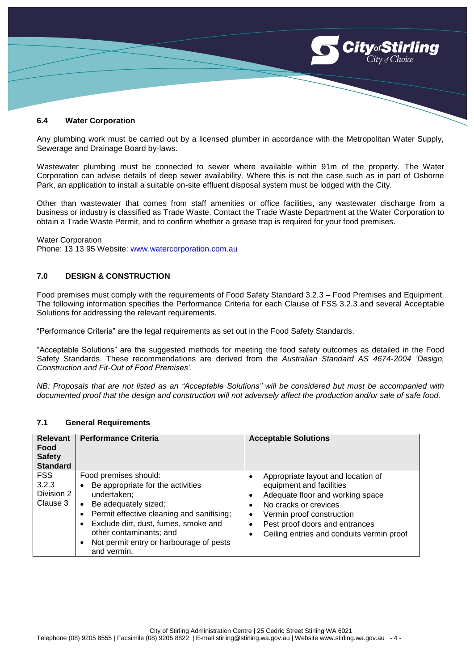

#### **6.4 Water Corporation**

Any plumbing work must be carried out by a licensed plumber in accordance with the Metropolitan Water Supply, Sewerage and Drainage Board by-laws.

Wastewater plumbing must be connected to sewer where available within 91m of the property. The Water Corporation can advise details of deep sewer availability. Where this is not the case such as in part of Osborne Park, an application to install a suitable on-site effluent disposal system must be lodged with the City.

Other than wastewater that comes from staff amenities or office facilities, any wastewater discharge from a business or industry is classified as Trade Waste. Contact the Trade Waste Department at the Water Corporation to obtain a Trade Waste Permit, and to confirm whether a grease trap is required for your food premises.

Water Corporation Phone: 13 13 95 Website: [www.watercorporation.com.au](http://www.watercorporation.com.au/)

# **7.0 DESIGN & CONSTRUCTION**

Food premises must comply with the requirements of Food Safety Standard 3.2.3 – Food Premises and Equipment. The following information specifies the Performance Criteria for each Clause of FSS 3.2.3 and several Acceptable Solutions for addressing the relevant requirements.

"Performance Criteria" are the legal requirements as set out in the Food Safety Standards.

"Acceptable Solutions" are the suggested methods for meeting the food safety outcomes as detailed in the Food Safety Standards. These recommendations are derived from the *Australian Standard AS 4674-2004 'Design, Construction and Fit-Out of Food Premises'*.

*NB: Proposals that are not listed as an "Acceptable Solutions" will be considered but must be accompanied with documented proof that the design and construction will not adversely affect the production and/or sale of safe food.*

| <b>Relevant</b><br>Food<br><b>Safety</b><br><b>Standard</b> | <b>Performance Criteria</b>                                                                                                                                                                                                                                                                                                                  | <b>Acceptable Solutions</b>                                                                                                                                                                                                                            |
|-------------------------------------------------------------|----------------------------------------------------------------------------------------------------------------------------------------------------------------------------------------------------------------------------------------------------------------------------------------------------------------------------------------------|--------------------------------------------------------------------------------------------------------------------------------------------------------------------------------------------------------------------------------------------------------|
| <b>FSS</b><br>3.2.3<br>Division 2<br>Clause 3               | Food premises should:<br>Be appropriate for the activities<br>$\bullet$<br>undertaken;<br>Be adequately sized;<br>$\bullet$<br>Permit effective cleaning and sanitising;<br>$\bullet$<br>Exclude dirt, dust, fumes, smoke and<br>$\bullet$<br>other contaminants; and<br>Not permit entry or harbourage of pests<br>$\bullet$<br>and vermin. | Appropriate layout and location of<br>equipment and facilities<br>Adequate floor and working space<br>٠<br>No cracks or crevices<br>Vermin proof construction<br>٠<br>Pest proof doors and entrances<br>Ceiling entries and conduits vermin proof<br>٠ |

#### **7.1 General Requirements**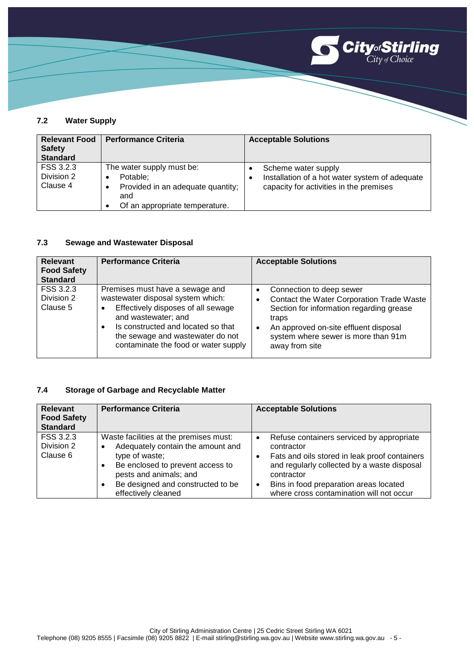

# **7.2 Water Supply**

| <b>Relevant Food</b><br><b>Safety</b><br><b>Standard</b> | <b>Performance Criteria</b>                                                                                                   | <b>Acceptable Solutions</b>                                                                                           |
|----------------------------------------------------------|-------------------------------------------------------------------------------------------------------------------------------|-----------------------------------------------------------------------------------------------------------------------|
| FSS 3.2.3<br>Division 2<br>Clause 4                      | The water supply must be:<br>Potable:<br>٠<br>Provided in an adequate quantity;<br>٠<br>and<br>Of an appropriate temperature. | Scheme water supply<br>Installation of a hot water system of adequate<br>٠<br>capacity for activities in the premises |

# **7.3 Sewage and Wastewater Disposal**

| <b>Relevant</b><br><b>Food Safety</b><br><b>Standard</b> | <b>Performance Criteria</b>                                                                                                                                                                                                                         | <b>Acceptable Solutions</b>                                                                                                                                                                                                                                         |
|----------------------------------------------------------|-----------------------------------------------------------------------------------------------------------------------------------------------------------------------------------------------------------------------------------------------------|---------------------------------------------------------------------------------------------------------------------------------------------------------------------------------------------------------------------------------------------------------------------|
| FSS 3.2.3<br>Division 2<br>Clause 5                      | Premises must have a sewage and<br>wastewater disposal system which:<br>Effectively disposes of all sewage<br>and wastewater; and<br>Is constructed and located so that<br>the sewage and wastewater do not<br>contaminate the food or water supply | Connection to deep sewer<br>$\bullet$<br>Contact the Water Corporation Trade Waste<br>$\bullet$<br>Section for information regarding grease<br>traps<br>An approved on-site effluent disposal<br>$\bullet$<br>system where sewer is more than 91m<br>away from site |

# **7.4 Storage of Garbage and Recyclable Matter**

| <b>Relevant</b><br><b>Food Safety</b><br><b>Standard</b> | <b>Performance Criteria</b>                                                                                                                                                                                                            | <b>Acceptable Solutions</b>                                                                                                                                                                                                                                                           |
|----------------------------------------------------------|----------------------------------------------------------------------------------------------------------------------------------------------------------------------------------------------------------------------------------------|---------------------------------------------------------------------------------------------------------------------------------------------------------------------------------------------------------------------------------------------------------------------------------------|
| FSS 3.2.3<br>Division 2<br>Clause 6                      | Waste facilities at the premises must:<br>Adequately contain the amount and<br>٠<br>type of waste;<br>Be enclosed to prevent access to<br>٠<br>pests and animals; and<br>Be designed and constructed to be<br>٠<br>effectively cleaned | Refuse containers serviced by appropriate<br>$\bullet$<br>contractor<br>Fats and oils stored in leak proof containers<br>and regularly collected by a waste disposal<br>contractor<br>Bins in food preparation areas located<br>$\bullet$<br>where cross contamination will not occur |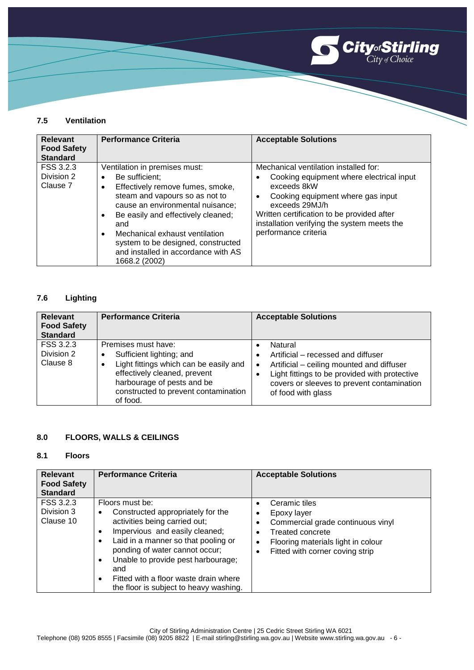

# **7.5 Ventilation**

| <b>Relevant</b><br><b>Food Safety</b><br><b>Standard</b> | <b>Performance Criteria</b>                                                                                                                                                                                                                                                                                                                                                        | <b>Acceptable Solutions</b>                                                                                                                                                                                                                                                               |
|----------------------------------------------------------|------------------------------------------------------------------------------------------------------------------------------------------------------------------------------------------------------------------------------------------------------------------------------------------------------------------------------------------------------------------------------------|-------------------------------------------------------------------------------------------------------------------------------------------------------------------------------------------------------------------------------------------------------------------------------------------|
| FSS 3.2.3<br>Division 2<br>Clause 7                      | Ventilation in premises must:<br>Be sufficient;<br>٠<br>Effectively remove fumes, smoke,<br>$\bullet$<br>steam and vapours so as not to<br>cause an environmental nuisance;<br>Be easily and effectively cleaned;<br>$\bullet$<br>and<br>Mechanical exhaust ventilation<br>$\bullet$<br>system to be designed, constructed<br>and installed in accordance with AS<br>1668.2 (2002) | Mechanical ventilation installed for:<br>Cooking equipment where electrical input<br>exceeds 8kW<br>Cooking equipment where gas input<br>$\bullet$<br>exceeds 29MJ/h<br>Written certification to be provided after<br>installation verifying the system meets the<br>performance criteria |

# **7.6 Lighting**

| <b>Relevant</b><br><b>Food Safety</b><br><b>Standard</b> | <b>Performance Criteria</b>                                                                                                                                                                                      | <b>Acceptable Solutions</b>                                                                                                                                                                                                  |
|----------------------------------------------------------|------------------------------------------------------------------------------------------------------------------------------------------------------------------------------------------------------------------|------------------------------------------------------------------------------------------------------------------------------------------------------------------------------------------------------------------------------|
| FSS 3.2.3<br>Division 2<br>Clause 8                      | Premises must have:<br>Sufficient lighting; and<br>٠<br>Light fittings which can be easily and<br>effectively cleaned, prevent<br>harbourage of pests and be<br>constructed to prevent contamination<br>of food. | Natural<br>Artificial – recessed and diffuser<br>Artificial - ceiling mounted and diffuser<br>$\bullet$<br>Light fittings to be provided with protective<br>covers or sleeves to prevent contamination<br>of food with glass |

# **8.0 FLOORS, WALLS & CEILINGS**

## **8.1 Floors**

| <b>Relevant</b><br><b>Food Safety</b><br><b>Standard</b> | <b>Performance Criteria</b>                                                                                                                                                                                                                                                                                                                                                               | <b>Acceptable Solutions</b>                                                                                                                                                                                       |
|----------------------------------------------------------|-------------------------------------------------------------------------------------------------------------------------------------------------------------------------------------------------------------------------------------------------------------------------------------------------------------------------------------------------------------------------------------------|-------------------------------------------------------------------------------------------------------------------------------------------------------------------------------------------------------------------|
| FSS 3.2.3<br>Division 3<br>Clause 10                     | Floors must be:<br>Constructed appropriately for the<br>٠<br>activities being carried out;<br>Impervious and easily cleaned;<br>$\bullet$<br>Laid in a manner so that pooling or<br>$\bullet$<br>ponding of water cannot occur;<br>Unable to provide pest harbourage;<br>$\bullet$<br>and<br>Fitted with a floor waste drain where<br>$\bullet$<br>the floor is subject to heavy washing. | Ceramic tiles<br>$\bullet$<br>Epoxy layer<br>Commercial grade continuous vinyl<br><b>Treated concrete</b><br>$\bullet$<br>Flooring materials light in colour<br>٠<br>Fitted with corner coving strip<br>$\bullet$ |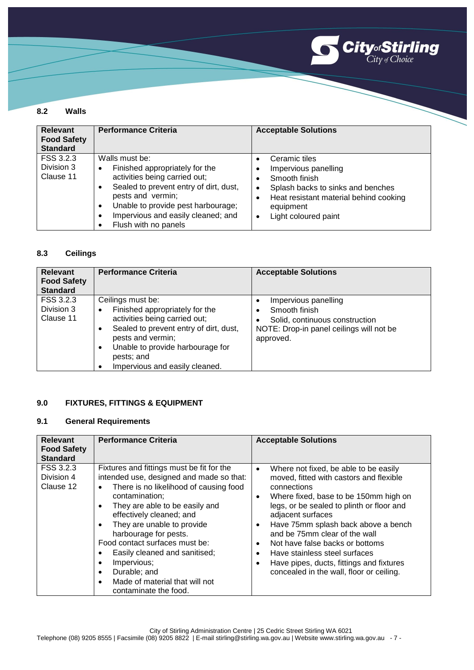

#### **8.2 Walls**

| <b>Relevant</b><br><b>Food Safety</b><br><b>Standard</b> | <b>Performance Criteria</b>                                                                                                                                                                                                                                                 | <b>Acceptable Solutions</b>                                                                                                                                                                                                 |
|----------------------------------------------------------|-----------------------------------------------------------------------------------------------------------------------------------------------------------------------------------------------------------------------------------------------------------------------------|-----------------------------------------------------------------------------------------------------------------------------------------------------------------------------------------------------------------------------|
| FSS 3.2.3<br>Division 3<br>Clause 11                     | Walls must be:<br>Finished appropriately for the<br>٠<br>activities being carried out;<br>Sealed to prevent entry of dirt, dust,<br>pests and vermin;<br>Unable to provide pest harbourage;<br>$\bullet$<br>Impervious and easily cleaned; and<br>٠<br>Flush with no panels | Ceramic tiles<br>$\bullet$<br>Impervious panelling<br>٠<br>Smooth finish<br>Splash backs to sinks and benches<br>$\bullet$<br>Heat resistant material behind cooking<br>٠<br>equipment<br>Light coloured paint<br>$\bullet$ |

## **8.3 Ceilings**

| <b>Relevant</b><br><b>Food Safety</b><br><b>Standard</b> | <b>Performance Criteria</b>                                                                                                                                                                                                                                    | <b>Acceptable Solutions</b>                                                                                                      |
|----------------------------------------------------------|----------------------------------------------------------------------------------------------------------------------------------------------------------------------------------------------------------------------------------------------------------------|----------------------------------------------------------------------------------------------------------------------------------|
| FSS 3.2.3<br>Division 3<br>Clause 11                     | Ceilings must be:<br>Finished appropriately for the<br>$\bullet$<br>activities being carried out;<br>Sealed to prevent entry of dirt, dust,<br>٠<br>pests and vermin;<br>Unable to provide harbourage for<br>٠<br>pests; and<br>Impervious and easily cleaned. | Impervious panelling<br>Smooth finish<br>Solid, continuous construction<br>NOTE: Drop-in panel ceilings will not be<br>approved. |

# **9.0 FIXTURES, FITTINGS & EQUIPMENT**

#### **9.1 General Requirements**

| <b>Relevant</b><br><b>Food Safety</b>                   | <b>Performance Criteria</b>                                                                                                                                                                                                                                                                                                                                                                                                                                 | <b>Acceptable Solutions</b>                                                                                                                                                                                                                                                                                                                                                                                                                                                                                     |
|---------------------------------------------------------|-------------------------------------------------------------------------------------------------------------------------------------------------------------------------------------------------------------------------------------------------------------------------------------------------------------------------------------------------------------------------------------------------------------------------------------------------------------|-----------------------------------------------------------------------------------------------------------------------------------------------------------------------------------------------------------------------------------------------------------------------------------------------------------------------------------------------------------------------------------------------------------------------------------------------------------------------------------------------------------------|
| <b>Standard</b><br>FSS 3.2.3<br>Division 4<br>Clause 12 | Fixtures and fittings must be fit for the<br>intended use, designed and made so that:<br>There is no likelihood of causing food<br>$\bullet$<br>contamination;<br>They are able to be easily and<br>effectively cleaned; and<br>They are unable to provide<br>harbourage for pests.<br>Food contact surfaces must be:<br>Easily cleaned and sanitised;<br>٠<br>Impervious;<br>٠<br>Durable; and<br>$\bullet$<br>Made of material that will not<br>$\bullet$ | Where not fixed, be able to be easily<br>$\bullet$<br>moved, fitted with castors and flexible<br>connections<br>Where fixed, base to be 150mm high on<br>$\bullet$<br>legs, or be sealed to plinth or floor and<br>adjacent surfaces<br>Have 75mm splash back above a bench<br>$\bullet$<br>and be 75mm clear of the wall<br>Not have false backs or bottoms<br>$\bullet$<br>Have stainless steel surfaces<br>$\bullet$<br>Have pipes, ducts, fittings and fixtures<br>concealed in the wall, floor or ceiling. |
|                                                         | contaminate the food.                                                                                                                                                                                                                                                                                                                                                                                                                                       |                                                                                                                                                                                                                                                                                                                                                                                                                                                                                                                 |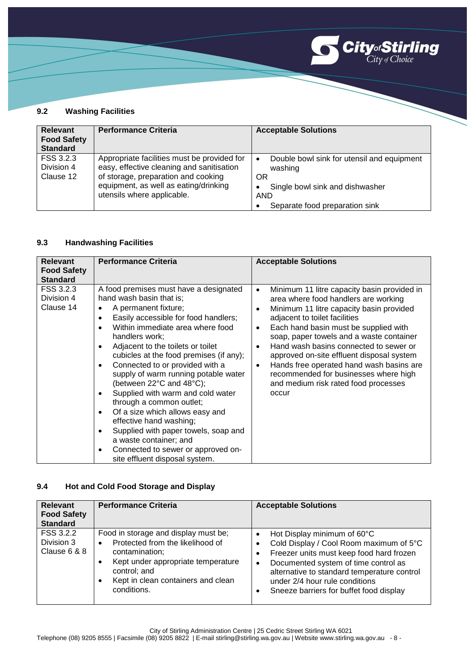

#### **9.2 Washing Facilities**

| <b>Relevant</b><br><b>Food Safety</b><br><b>Standard</b> | <b>Performance Criteria</b>                                                                                                                                                                            | <b>Acceptable Solutions</b>                                                                                                                         |
|----------------------------------------------------------|--------------------------------------------------------------------------------------------------------------------------------------------------------------------------------------------------------|-----------------------------------------------------------------------------------------------------------------------------------------------------|
| FSS 3.2.3<br>Division 4<br>Clause 12                     | Appropriate facilities must be provided for<br>easy, effective cleaning and sanitisation<br>of storage, preparation and cooking<br>equipment, as well as eating/drinking<br>utensils where applicable. | Double bowl sink for utensil and equipment<br>٠<br>washing<br>OR<br>Single bowl sink and dishwasher<br><b>AND</b><br>Separate food preparation sink |

# **9.3 Handwashing Facilities**

| <b>Relevant</b><br><b>Food Safety</b>                   | <b>Performance Criteria</b>                                                                                                                                                                                                                                                                                                                                                                                                                                                                                                                                                                                                                                                                       | <b>Acceptable Solutions</b>                                                                                                                                                                                                                                                                                                                                                                                                                                                                                                            |
|---------------------------------------------------------|---------------------------------------------------------------------------------------------------------------------------------------------------------------------------------------------------------------------------------------------------------------------------------------------------------------------------------------------------------------------------------------------------------------------------------------------------------------------------------------------------------------------------------------------------------------------------------------------------------------------------------------------------------------------------------------------------|----------------------------------------------------------------------------------------------------------------------------------------------------------------------------------------------------------------------------------------------------------------------------------------------------------------------------------------------------------------------------------------------------------------------------------------------------------------------------------------------------------------------------------------|
| <b>Standard</b><br>FSS 3.2.3<br>Division 4<br>Clause 14 | A food premises must have a designated<br>hand wash basin that is;<br>A permanent fixture;<br>Easily accessible for food handlers;<br>$\bullet$<br>Within immediate area where food<br>handlers work;<br>Adjacent to the toilets or toilet<br>cubicles at the food premises (if any);<br>Connected to or provided with a<br>$\bullet$<br>supply of warm running potable water<br>(between 22°C and 48°C);<br>Supplied with warm and cold water<br>through a common outlet;<br>Of a size which allows easy and<br>٠<br>effective hand washing;<br>Supplied with paper towels, soap and<br>٠<br>a waste container; and<br>Connected to sewer or approved on-<br>٠<br>site effluent disposal system. | Minimum 11 litre capacity basin provided in<br>$\bullet$<br>area where food handlers are working<br>Minimum 11 litre capacity basin provided<br>$\bullet$<br>adjacent to toilet facilities<br>Each hand basin must be supplied with<br>$\bullet$<br>soap, paper towels and a waste container<br>Hand wash basins connected to sewer or<br>approved on-site effluent disposal system<br>Hands free operated hand wash basins are<br>$\bullet$<br>recommended for businesses where high<br>and medium risk rated food processes<br>occur |

# **9.4 Hot and Cold Food Storage and Display**

| <b>Relevant</b><br><b>Food Safety</b><br><b>Standard</b> | <b>Performance Criteria</b>                                                                                                                                                                                             | <b>Acceptable Solutions</b>                                                                                                                                                                                                                                                                                                        |
|----------------------------------------------------------|-------------------------------------------------------------------------------------------------------------------------------------------------------------------------------------------------------------------------|------------------------------------------------------------------------------------------------------------------------------------------------------------------------------------------------------------------------------------------------------------------------------------------------------------------------------------|
| FSS 3.2.2<br>Division 3<br>Clause 6 & 8                  | Food in storage and display must be;<br>Protected from the likelihood of<br>$\bullet$<br>contamination;<br>Kept under appropriate temperature<br>control; and<br>Kept in clean containers and clean<br>٠<br>conditions. | Hot Display minimum of 60°C<br>$\bullet$<br>Cold Display / Cool Room maximum of 5°C<br>٠<br>Freezer units must keep food hard frozen<br>$\bullet$<br>Documented system of time control as<br>$\bullet$<br>alternative to standard temperature control<br>under 2/4 hour rule conditions<br>Sneeze barriers for buffet food display |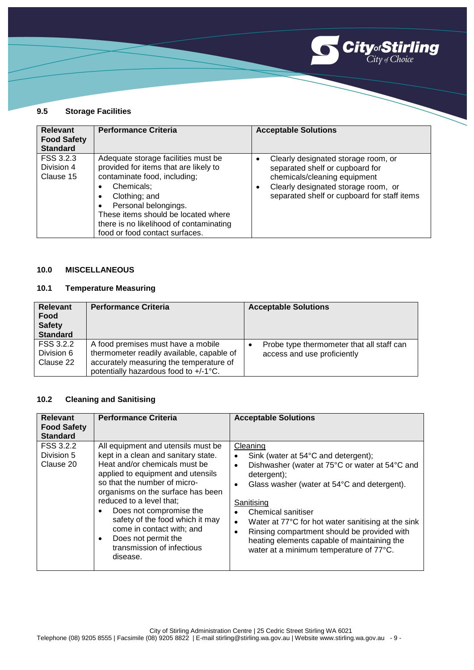

#### **9.5 Storage Facilities**

| <b>Relevant</b><br><b>Food Safety</b><br><b>Standard</b> | <b>Performance Criteria</b>                                                                                                                                                                                                                                                                  | <b>Acceptable Solutions</b>                                                                                                                                                                                    |
|----------------------------------------------------------|----------------------------------------------------------------------------------------------------------------------------------------------------------------------------------------------------------------------------------------------------------------------------------------------|----------------------------------------------------------------------------------------------------------------------------------------------------------------------------------------------------------------|
| FSS 3.2.3<br>Division 4<br>Clause 15                     | Adequate storage facilities must be<br>provided for items that are likely to<br>contaminate food, including;<br>Chemicals;<br>Clothing; and<br>٠<br>Personal belongings.<br>These items should be located where<br>there is no likelihood of contaminating<br>food or food contact surfaces. | Clearly designated storage room, or<br>$\bullet$<br>separated shelf or cupboard for<br>chemicals/cleaning equipment<br>Clearly designated storage room, or<br>٠<br>separated shelf or cupboard for staff items |

# **10.0 MISCELLANEOUS**

# **10.1 Temperature Measuring**

| <b>Relevant</b><br>Food<br><b>Safety</b><br><b>Standard</b> | <b>Performance Criteria</b>                                                                                                                                         | <b>Acceptable Solutions</b>                                              |
|-------------------------------------------------------------|---------------------------------------------------------------------------------------------------------------------------------------------------------------------|--------------------------------------------------------------------------|
| FSS 3.2.2<br>Division 6<br>Clause 22                        | A food premises must have a mobile<br>thermometer readily available, capable of<br>accurately measuring the temperature of<br>potentially hazardous food to +/-1°C. | Probe type thermometer that all staff can<br>access and use proficiently |

# **10.2 Cleaning and Sanitising**

| <b>Relevant</b><br><b>Food Safety</b><br><b>Standard</b> | <b>Performance Criteria</b>                                                                                                                                                                                                                                                                                                                                                                                            | <b>Acceptable Solutions</b>                                                                                                                                                                                                                                                                                                                                                                                                               |
|----------------------------------------------------------|------------------------------------------------------------------------------------------------------------------------------------------------------------------------------------------------------------------------------------------------------------------------------------------------------------------------------------------------------------------------------------------------------------------------|-------------------------------------------------------------------------------------------------------------------------------------------------------------------------------------------------------------------------------------------------------------------------------------------------------------------------------------------------------------------------------------------------------------------------------------------|
| FSS 3.2.2<br>Division 5<br>Clause 20                     | All equipment and utensils must be<br>kept in a clean and sanitary state.<br>Heat and/or chemicals must be<br>applied to equipment and utensils<br>so that the number of micro-<br>organisms on the surface has been<br>reduced to a level that;<br>Does not compromise the<br>٠<br>safety of the food which it may<br>come in contact with; and<br>Does not permit the<br>٠<br>transmission of infectious<br>disease. | Cleaning<br>Sink (water at 54°C and detergent);<br>Dishwasher (water at 75°C or water at 54°C and<br>$\bullet$<br>detergent);<br>Glass washer (water at 54°C and detergent).<br>Sanitising<br>Chemical sanitiser<br>Water at 77°C for hot water sanitising at the sink<br>$\bullet$<br>Rinsing compartment should be provided with<br>$\bullet$<br>heating elements capable of maintaining the<br>water at a minimum temperature of 77°C. |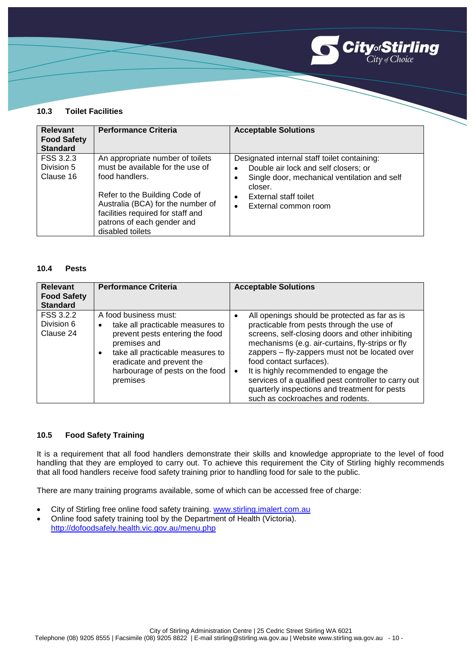

#### **10.3 Toilet Facilities**

| <b>Relevant</b><br><b>Food Safety</b><br><b>Standard</b> | <b>Performance Criteria</b>                                                                                                                                                                                                                         | <b>Acceptable Solutions</b>                                                                                                                                                                                                             |
|----------------------------------------------------------|-----------------------------------------------------------------------------------------------------------------------------------------------------------------------------------------------------------------------------------------------------|-----------------------------------------------------------------------------------------------------------------------------------------------------------------------------------------------------------------------------------------|
| FSS 3.2.3<br>Division 5<br>Clause 16                     | An appropriate number of toilets<br>must be available for the use of<br>food handlers.<br>Refer to the Building Code of<br>Australia (BCA) for the number of<br>facilities required for staff and<br>patrons of each gender and<br>disabled toilets | Designated internal staff toilet containing:<br>Double air lock and self closers; or<br>$\bullet$<br>Single door, mechanical ventilation and self<br>closer.<br>External staff toilet<br>$\bullet$<br>External common room<br>$\bullet$ |

#### **10.4 Pests**

| <b>Relevant</b><br><b>Food Safety</b><br><b>Standard</b> | <b>Performance Criteria</b>                                                                                                                                                                                                                            | <b>Acceptable Solutions</b>                                                                                                                                                                                                                                                                                                                                                                                                                                                              |
|----------------------------------------------------------|--------------------------------------------------------------------------------------------------------------------------------------------------------------------------------------------------------------------------------------------------------|------------------------------------------------------------------------------------------------------------------------------------------------------------------------------------------------------------------------------------------------------------------------------------------------------------------------------------------------------------------------------------------------------------------------------------------------------------------------------------------|
| FSS 3.2.2<br>Division 6<br>Clause 24                     | A food business must:<br>take all practicable measures to<br>$\bullet$<br>prevent pests entering the food<br>premises and<br>take all practicable measures to<br>$\bullet$<br>eradicate and prevent the<br>harbourage of pests on the food<br>premises | All openings should be protected as far as is<br>٠<br>practicable from pests through the use of<br>screens, self-closing doors and other inhibiting<br>mechanisms (e.g. air-curtains, fly-strips or fly<br>zappers - fly-zappers must not be located over<br>food contact surfaces).<br>It is highly recommended to engage the<br>$\bullet$<br>services of a qualified pest controller to carry out<br>quarterly inspections and treatment for pests<br>such as cockroaches and rodents. |

#### **10.5 Food Safety Training**

It is a requirement that all food handlers demonstrate their skills and knowledge appropriate to the level of food handling that they are employed to carry out. To achieve this requirement the City of Stirling highly recommends that all food handlers receive food safety training prior to handling food for sale to the public.

There are many training programs available, some of which can be accessed free of charge:

- City of Stirling free online food safety training. [www.stirling.imalert.com.au](http://www.stirling.imalert.com.au/)
- Online food safety training tool by the Department of Health (Victoria). <http://dofoodsafely.health.vic.gov.au/menu.php>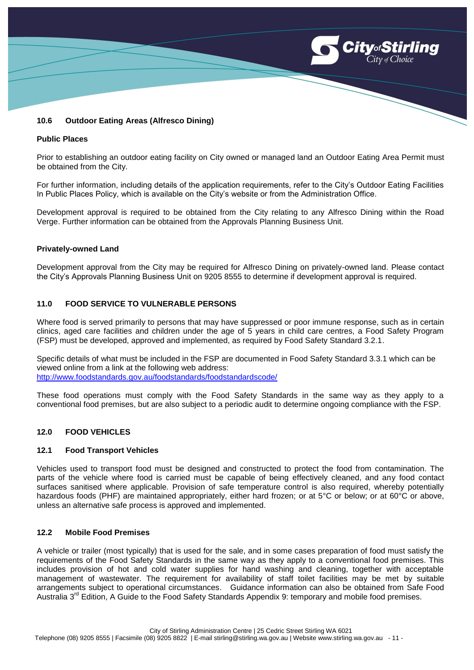

#### **10.6 Outdoor Eating Areas (Alfresco Dining)**

#### **Public Places**

Prior to establishing an outdoor eating facility on City owned or managed land an Outdoor Eating Area Permit must be obtained from the City.

For further information, including details of the application requirements, refer to the City's Outdoor Eating Facilities In Public Places Policy, which is available on the City's website or from the Administration Office.

Development approval is required to be obtained from the City relating to any Alfresco Dining within the Road Verge. Further information can be obtained from the Approvals Planning Business Unit.

#### **Privately-owned Land**

Development approval from the City may be required for Alfresco Dining on privately-owned land. Please contact the City's Approvals Planning Business Unit on 9205 8555 to determine if development approval is required.

#### **11.0 FOOD SERVICE TO VULNERABLE PERSONS**

Where food is served primarily to persons that may have suppressed or poor immune response, such as in certain clinics, aged care facilities and children under the age of 5 years in child care centres, a Food Safety Program (FSP) must be developed, approved and implemented, as required by Food Safety Standard 3.2.1.

Specific details of what must be included in the FSP are documented in Food Safety Standard 3.3.1 which can be viewed online from a link at the following web address: <http://www.foodstandards.gov.au/foodstandards/foodstandardscode/>

These food operations must comply with the Food Safety Standards in the same way as they apply to a conventional food premises, but are also subject to a periodic audit to determine ongoing compliance with the FSP.

### **12.0 FOOD VEHICLES**

# **12.1 Food Transport Vehicles**

Vehicles used to transport food must be designed and constructed to protect the food from contamination. The parts of the vehicle where food is carried must be capable of being effectively cleaned, and any food contact surfaces sanitised where applicable. Provision of safe temperature control is also required, whereby potentially hazardous foods (PHF) are maintained appropriately, either hard frozen; or at 5°C or below; or at 60°C or above, unless an alternative safe process is approved and implemented.

#### **12.2 Mobile Food Premises**

A vehicle or trailer (most typically) that is used for the sale, and in some cases preparation of food must satisfy the requirements of the Food Safety Standards in the same way as they apply to a conventional food premises. This includes provision of hot and cold water supplies for hand washing and cleaning, together with acceptable management of wastewater. The requirement for availability of staff toilet facilities may be met by suitable arrangements subject to operational circumstances. Guidance information can also be obtained from Safe Food Australia  $3<sup>rd</sup>$  Edition, A Guide to the Food Safety Standards Appendix 9: temporary and mobile food premises.